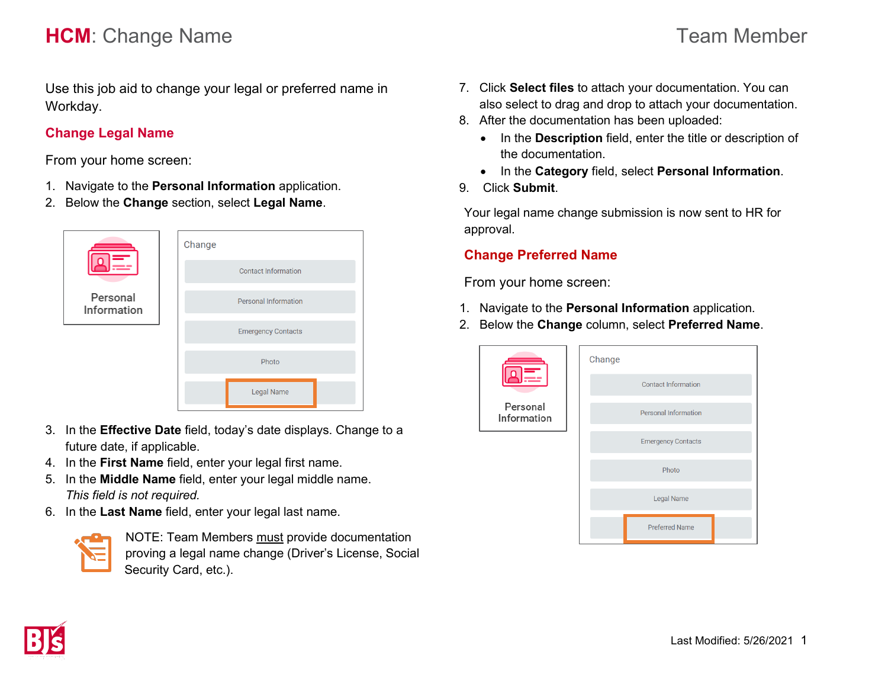# **HCM**: Change Name **Team Member** Team Member

Use this job aid to change your legal or preferred name in Workday.

### **Change Legal Name**

From your home screen:

- 1. Navigate to the **Personal Information** application.
- 2. Below the **Change** section, select **Legal Name**.



- 3. In the **Effective Date** field, today's date displays. Change to a future date, if applicable.
- 4. In the **First Name** field, enter your legal first name.
- 5. In the **Middle Name** field, enter your legal middle name. *This field is not required.*
- 6. In the **Last Name** field, enter your legal last name.



NOTE: Team Members must provide documentation proving a legal name change (Driver's License, Social Security Card, etc.).

- 7. Click **Select files** to attach your documentation. You can also select to drag and drop to attach your documentation.
- 8. After the documentation has been uploaded:
	- In the **Description** field, enter the title or description of the documentation.
	- In the **Category** field, select **Personal Information**.
- 9. Click **Submit**.

Your legal name change submission is now sent to HR for approval.

### **Change Preferred Name**

From your home screen:

- 1. Navigate to the **Personal Information** application.
- 2. Below the **Change** column, select **Preferred Name**.

|                        | Change |                             |  |
|------------------------|--------|-----------------------------|--|
|                        |        | <b>Contact Information</b>  |  |
| Personal<br>nformation |        | <b>Personal Information</b> |  |
|                        |        | <b>Emergency Contacts</b>   |  |
|                        |        | Photo                       |  |
|                        |        | <b>Legal Name</b>           |  |
|                        |        | <b>Preferred Name</b>       |  |